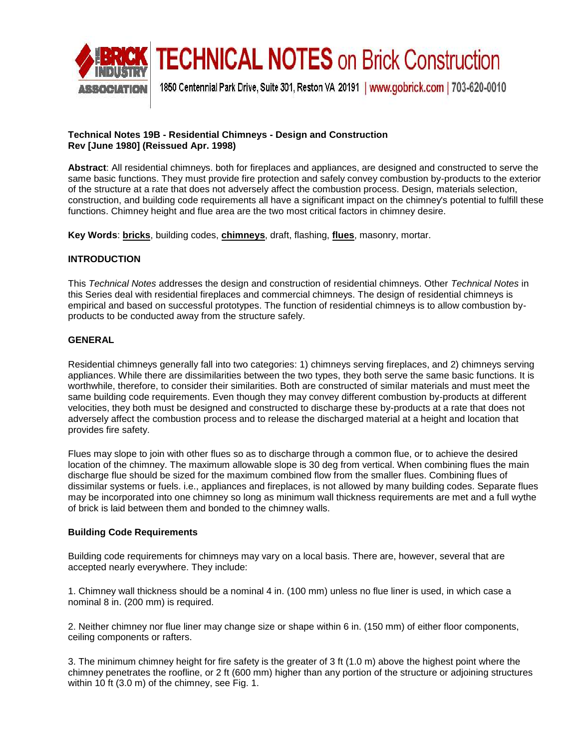

### **TECHNICAL NOTES on Brick Construction**

1850 Centennial Park Drive, Suite 301, Reston VA 20191 | www.gobrick.com | 703-620-0010

### **Technical Notes 19B - Residential Chimneys - Design and Construction Rev [June 1980] (Reissued Apr. 1998)**

 same basic functions. They must provide fire protection and safely convey combustion by-products to the exterior **Abstract**: All residential chimneys. both for fireplaces and appliances, are designed and constructed to serve the of the structure at a rate that does not adversely affect the combustion process. Design, materials selection, construction, and building code requirements all have a significant impact on the chimney's potential to fulfill these functions. Chimney height and flue area are the two most critical factors in chimney desire.

**Key Words**: **bricks**, building codes, **chimneys**, draft, flashing, **flues**, masonry, mortar.

### **INTRODUCTION**

 This *Technical Notes* addresses the design and construction of residential chimneys. Other *Technical Notes* in this Series deal with residential fireplaces and commercial chimneys. The design of residential chimneys is empirical and based on successful prototypes. The function of residential chimneys is to allow combustion byproducts to be conducted away from the structure safely.

#### **GENERAL**

Residential chimneys generally fall into two categories: 1) chimneys serving fireplaces, and 2) chimneys serving appliances. While there are dissimilarities between the two types, they both serve the same basic functions. It is worthwhile, therefore, to consider their similarities. Both are constructed of similar materials and must meet the same building code requirements. Even though they may convey different combustion by-products at different velocities, they both must be designed and constructed to discharge these by-products at a rate that does not adversely affect the combustion process and to release the discharged material at a height and location that provides fire safety.

 may be incorporated into one chimney so long as minimum wall thickness requirements are met and a full wythe Flues may slope to join with other flues so as to discharge through a common flue, or to achieve the desired location of the chimney. The maximum allowable slope is 30 deg from vertical. When combining flues the main discharge flue should be sized for the maximum combined flow from the smaller flues. Combining flues of dissimilar systems or fuels. i.e., appliances and fireplaces, is not allowed by many building codes. Separate flues of brick is laid between them and bonded to the chimney walls.

#### **Building Code Requirements**

 accepted nearly everywhere. They include: Building code requirements for chimneys may vary on a local basis. There are, however, several that are

 1. Chimney wall thickness should be a nominal 4 in. (100 mm) unless no flue liner is used, in which case a nominal 8 in. (200 mm) is required.

2. Neither chimney nor flue liner may change size or shape within 6 in. (150 mm) of either floor components, ceiling components or rafters.

3. The minimum chimney height for fire safety is the greater of 3 ft (1.0 m) above the highest point where the chimney penetrates the roofline, or 2 ft (600 mm) higher than any portion of the structure or adjoining structures within 10 ft (3.0 m) of the chimney, see Fig. 1.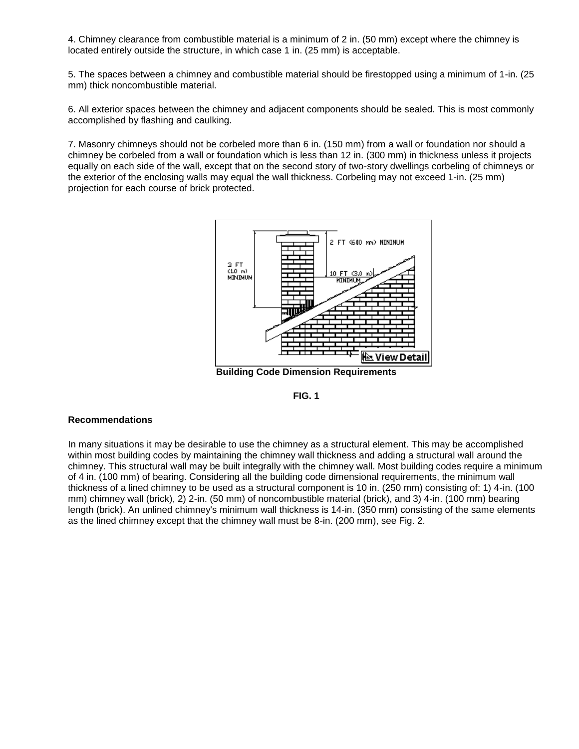4. Chimney clearance from combustible material is a minimum of 2 in. (50 mm) except where the chimney is located entirely outside the structure, in which case 1 in. (25 mm) is acceptable.

5. The spaces between a chimney and combustible material should be firestopped using a minimum of 1-in. (25 mm) thick noncombustible material.

6. All exterior spaces between the chimney and adjacent components should be sealed. This is most commonly accomplished by flashing and caulking.

 chimney be corbeled from a wall or foundation which is less than 12 in. (300 mm) in thickness unless it projects the exterior of the enclosing walls may equal the wall thickness. Corbeling may not exceed 1-in. (25 mm) 7. Masonry chimneys should not be corbeled more than 6 in. (150 mm) from a wall or foundation nor should a equally on each side of the wall, except that on the second story of two-story dwellings corbeling of chimneys or projection for each course of brick protected.



**Building Code Dimension Requirements FIG. 1** 



#### **Recommendations**

 In many situations it may be desirable to use the chimney as a structural element. This may be accomplished within most building codes by maintaining the chimney wall thickness and adding a structural wall around the thickness of a lined chimney to be used as a structural component is 10 in. (250 mm) consisting of: 1) 4-in. (100 mm) chimney wall (brick), 2) 2-in. (50 mm) of noncombustible material (brick), and 3) 4-in. (100 mm) bearing chimney. This structural wall may be built integrally with the chimney wall. Most building codes require a minimum of 4 in. (100 mm) of bearing. Considering all the building code dimensional requirements, the minimum wall length (brick). An unlined chimney's minimum wall thickness is 14-in. (350 mm) consisting of the same elements as the lined chimney except that the chimney wall must be 8-in. (200 mm), see Fig. 2.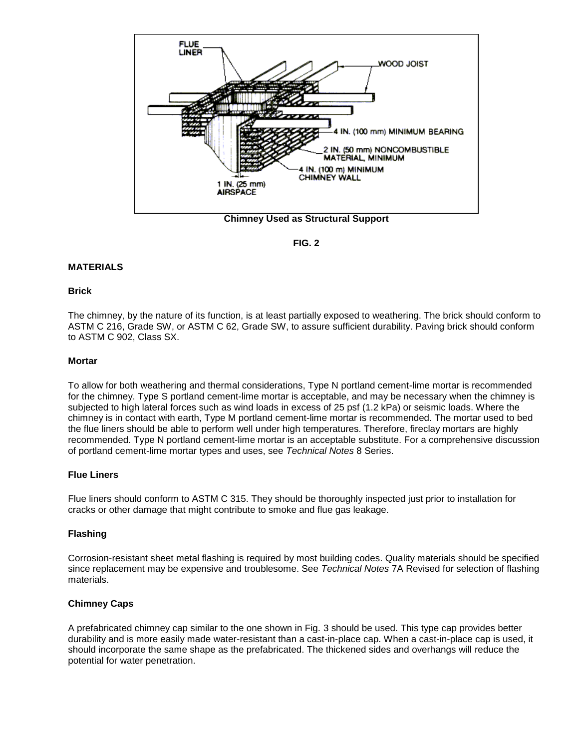



#### **MATERIALS**

#### **Brick**

The chimney, by the nature of its function, is at least partially exposed to weathering. The brick should conform to ASTM C 216, Grade SW, or ASTM C 62, Grade SW, to assure sufficient durability. Paving brick should conform to ASTM C 902, Class SX.

#### **Mortar**

 for the chimney. Type S portland cement-lime mortar is acceptable, and may be necessary when the chimney is subjected to high lateral forces such as wind loads in excess of 25 psf (1.2 kPa) or seismic loads. Where the To allow for both weathering and thermal considerations, Type N portland cement-lime mortar is recommended chimney is in contact with earth, Type M portland cement-lime mortar is recommended. The mortar used to bed the flue liners should be able to perform well under high temperatures. Therefore, fireclay mortars are highly recommended. Type N portland cement-lime mortar is an acceptable substitute. For a comprehensive discussion of portland cement-lime mortar types and uses, see *Technical Notes* 8 Series.

#### **Flue Liners**

Flue liners should conform to ASTM C 315. They should be thoroughly inspected just prior to installation for cracks or other damage that might contribute to smoke and flue gas leakage.

#### **Flashing**

 Corrosion-resistant sheet metal flashing is required by most building codes. Quality materials should be specified since replacement may be expensive and troublesome. See *Technical Notes* 7A Revised for selection of flashing materials.

### **Chimney Caps**

 should incorporate the same shape as the prefabricated. The thickened sides and overhangs will reduce the A prefabricated chimney cap similar to the one shown in Fig. 3 should be used. This type cap provides better durability and is more easily made water-resistant than a cast-in-place cap. When a cast-in-place cap is used, it potential for water penetration.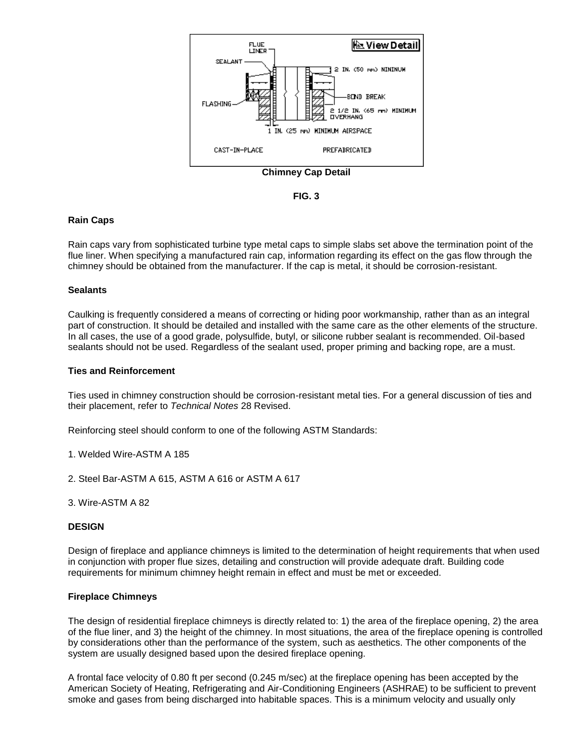

**Chimney Cap Detail FIG. 3** 

#### **Rain Caps**

 flue liner. When specifying a manufactured rain cap, information regarding its effect on the gas flow through the Rain caps vary from sophisticated turbine type metal caps to simple slabs set above the termination point of the chimney should be obtained from the manufacturer. If the cap is metal, it should be corrosion-resistant.

#### **Sealants**

 part of construction. It should be detailed and installed with the same care as the other elements of the structure. Caulking is frequently considered a means of correcting or hiding poor workmanship, rather than as an integral In all cases, the use of a good grade, polysulfide, butyl, or silicone rubber sealant is recommended. Oil-based sealants should not be used. Regardless of the sealant used, proper priming and backing rope, are a must.

#### **Ties and Reinforcement**

 Ties used in chimney construction should be corrosion-resistant metal ties. For a general discussion of ties and their placement, refer to *Technical Notes* 28 Revised.

Reinforcing steel should conform to one of the following ASTM Standards:

1. Welded Wire-ASTM A 185

2. Steel Bar-ASTM A 615, ASTM A 616 or ASTM A 617

3. Wire-ASTM A 82

#### **DESIGN**

 Design of fireplace and appliance chimneys is limited to the determination of height requirements that when used in conjunction with proper flue sizes, detailing and construction will provide adequate draft. Building code requirements for minimum chimney height remain in effect and must be met or exceeded.

#### **Fireplace Chimneys**

 The design of residential fireplace chimneys is directly related to: 1) the area of the fireplace opening, 2) the area of the flue liner, and 3) the height of the chimney. In most situations, the area of the fireplace opening is controlled by considerations other than the performance of the system, such as aesthetics. The other components of the system are usually designed based upon the desired fireplace opening.

 American Society of Heating, Refrigerating and Air-Conditioning Engineers (ASHRAE) to be sufficient to prevent smoke and gases from being discharged into habitable spaces. This is a minimum velocity and usually only A frontal face velocity of 0.80 ft per second (0.245 m/sec) at the fireplace opening has been accepted by the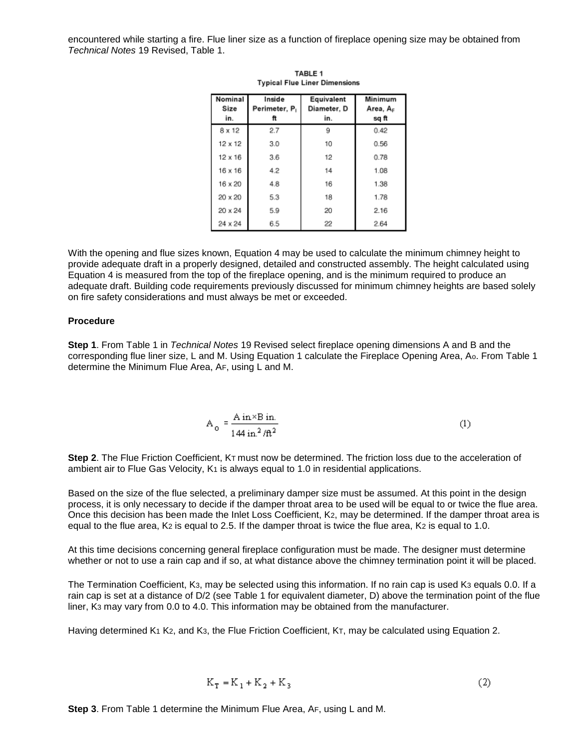encountered while starting a fire. Flue liner size as a function of fireplace opening size may be obtained from *Technical Notes* 19 Revised, Table 1.

| Nominal<br>Size<br>in. | Inside<br>Perimeter, P.<br>ft | Equivalent<br>Diameter, D<br>in. | Minimum<br>Area, A <sub>F</sub><br>sq ft |
|------------------------|-------------------------------|----------------------------------|------------------------------------------|
| 8 x 12                 | 2.7                           | 9                                | 0.42                                     |
| $12 \times 12$         | 3.0                           | 10                               | 0.56                                     |
| $12 \times 16$         | 3.6                           | 12                               | 0.78                                     |
| 16 x 16                | 4.2                           | 14                               | 1.08                                     |
| 16 x 20                | 4.8                           | 16                               | 1.38                                     |
| 20 x 20                | 5.3                           | 18                               | 1.78                                     |
| 20 x 24                | 5.9                           | 20                               | 2.16                                     |
| 24 x 24                | 6.5                           | 22                               | 2.64                                     |

TABLE 1 **Typical Flue Liner Dimensions** 

 provide adequate draft in a properly designed, detailed and constructed assembly. The height calculated using With the opening and flue sizes known, Equation 4 may be used to calculate the minimum chimney height to Equation 4 is measured from the top of the fireplace opening, and is the minimum required to produce an adequate draft. Building code requirements previously discussed for minimum chimney heights are based solely on fire safety considerations and must always be met or exceeded.

#### **Procedure**

 **Step 1**. From Table 1 in *Technical Notes* 19 Revised select fireplace opening dimensions A and B and the corresponding flue liner size, L and M. Using Equation 1 calculate the Fireplace Opening Area, Ao. From Table 1 determine the Minimum Flue Area, AF, using L and M.

$$
A_0 = \frac{A \text{ in} \times B \text{ in.}}{144 \text{ in.}^2 / \text{ft}^2}
$$
 (1)

 **Step 2**. The Flue Friction Coefficient, KT must now be determined. The friction loss due to the acceleration of ambient air to Flue Gas Velocity, K1 is always equal to 1.0 in residential applications.

 process, it is only necessary to decide if the damper throat area to be used will be equal to or twice the flue area. equal to the flue area, K2 is equal to 2.5. If the damper throat is twice the flue area, K2 is equal to 1.0. Based on the size of the flue selected, a preliminary damper size must be assumed. At this point in the design Once this decision has been made the Inlet Loss Coefficient, K2, may be determined. If the damper throat area is

At this time decisions concerning general fireplace configuration must be made. The designer must determine whether or not to use a rain cap and if so, at what distance above the chimney termination point it will be placed.

 The Termination Coefficient, K3, may be selected using this information. If no rain cap is used K3 equals 0.0. If a liner, K3 may vary from 0.0 to 4.0. This information may be obtained from the manufacturer. rain cap is set at a distance of D/2 (see Table 1 for equivalent diameter, D) above the termination point of the flue

Having determined K1 K2, and K3, the Flue Friction Coefficient, KT, may be calculated using Equation 2.

$$
K_{T} = K_{1} + K_{2} + K_{3}
$$
 (2)

**Step 3**. From Table 1 determine the Minimum Flue Area, AF, using L and M.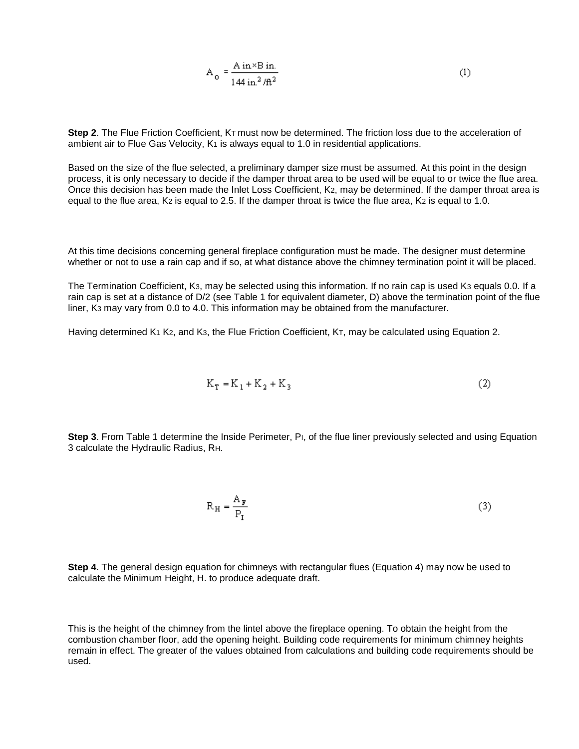$$
A_0 = \frac{A \text{ in} \times B \text{ in.}}{144 \text{ in.}^2 / \text{ft}^2}
$$
 (1)

 **Step 2**. The Flue Friction Coefficient, KT must now be determined. The friction loss due to the acceleration of ambient air to Flue Gas Velocity, K1 is always equal to 1.0 in residential applications.

 process, it is only necessary to decide if the damper throat area to be used will be equal to or twice the flue area. equal to the flue area, K2 is equal to 2.5. If the damper throat is twice the flue area, K2 is equal to 1.0. Based on the size of the flue selected, a preliminary damper size must be assumed. At this point in the design Once this decision has been made the Inlet Loss Coefficient, K2, may be determined. If the damper throat area is

At this time decisions concerning general fireplace configuration must be made. The designer must determine whether or not to use a rain cap and if so, at what distance above the chimney termination point it will be placed.

 The Termination Coefficient, K3, may be selected using this information. If no rain cap is used K3 equals 0.0. If a liner, K3 may vary from 0.0 to 4.0. This information may be obtained from the manufacturer. rain cap is set at a distance of D/2 (see Table 1 for equivalent diameter, D) above the termination point of the flue

Having determined K1 K2, and K3, the Flue Friction Coefficient, KT, may be calculated using Equation 2.

$$
K_T = K_1 + K_2 + K_3 \tag{2}
$$

**Step 3**. From Table 1 determine the Inside Perimeter, P<sub>I</sub>, of the flue liner previously selected and using Equation 3 calculate the Hydraulic Radius, RH.

$$
R_H = \frac{A_F}{P_I} \tag{3}
$$

 **Step 4**. The general design equation for chimneys with rectangular flues (Equation 4) may now be used to calculate the Minimum Height, H. to produce adequate draft.

 This is the height of the chimney from the lintel above the fireplace opening. To obtain the height from the combustion chamber floor, add the opening height. Building code requirements for minimum chimney heights remain in effect. The greater of the values obtained from calculations and building code requirements should be used.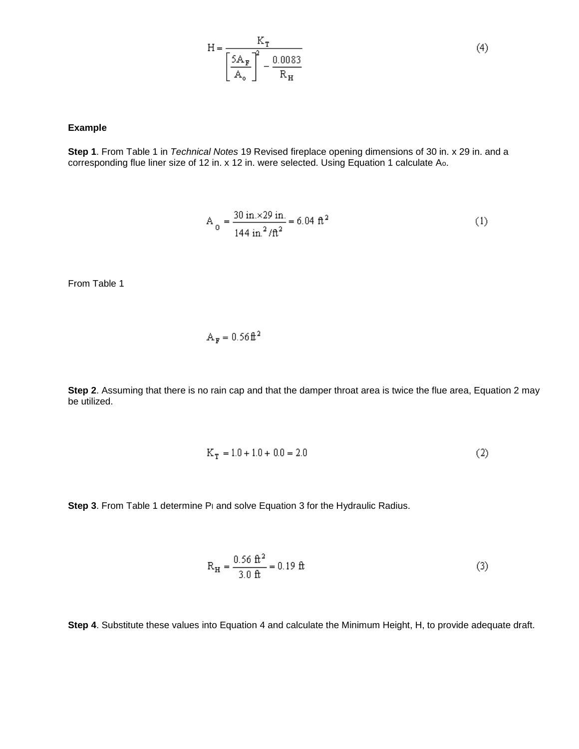$$
H = \frac{K_{T}}{\left[\frac{5A_{F}}{A_{o}}\right]^{2} - \frac{0.0083}{R_{H}}}
$$
(4)

#### **Example**

**Step 1**. From Table 1 in *Technical Notes* 19 Revised fireplace opening dimensions of 30 in. x 29 in. and a corresponding flue liner size of 12 in. x 12 in. were selected. Using Equation 1 calculate Ao.

$$
A_0 = \frac{30 \text{ in.} \times 29 \text{ in.}}{144 \text{ in.}^2/\text{ft}^2} = 6.04 \text{ ft}^2
$$
 (1)

From Table 1

$$
A_{\mathbf{F}} = 0.56 \,\mathbf{\hat{t}}^2
$$

**Step 2**. Assuming that there is no rain cap and that the damper throat area is twice the flue area, Equation 2 may be utilized.

$$
K_T = 1.0 + 1.0 + 0.0 = 2.0
$$
 (2)

**Step 3**. From Table 1 determine PI and solve Equation 3 for the Hydraulic Radius.

$$
R_H = \frac{0.56 \text{ ft}^2}{3.0 \text{ ft}} = 0.19 \text{ ft}
$$
 (3)

**Step 4**. Substitute these values into Equation 4 and calculate the Minimum Height, H, to provide adequate draft.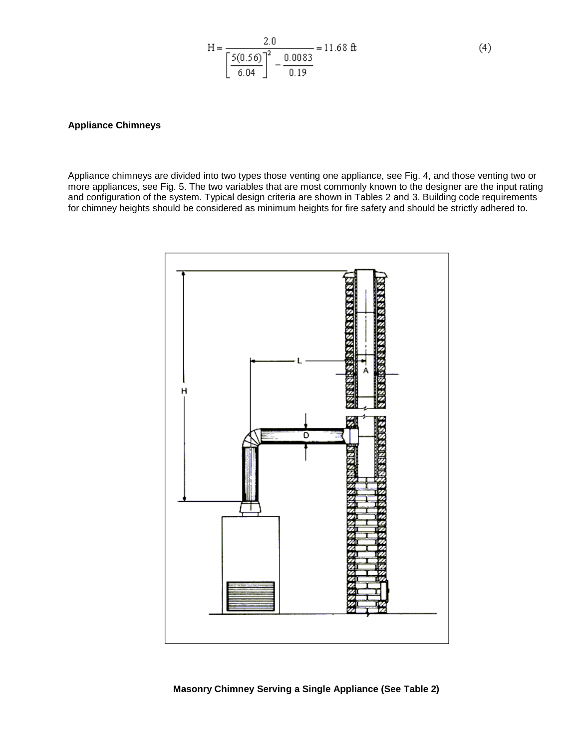$$
H = \frac{2.0}{\left[\frac{5(0.56)}{6.04}\right]^2 - \frac{0.0083}{0.19}} = 11.68 \text{ ft}
$$
 (4)

#### **Appliance Chimneys**

Appliance chimneys are divided into two types those venting one appliance, see Fig. 4, and those venting two or more appliances, see Fig. 5. The two variables that are most commonly known to the designer are the input rating and configuration of the system. Typical design criteria are shown in Tables 2 and 3. Building code requirements for chimney heights should be considered as minimum heights for fire safety and should be strictly adhered to.

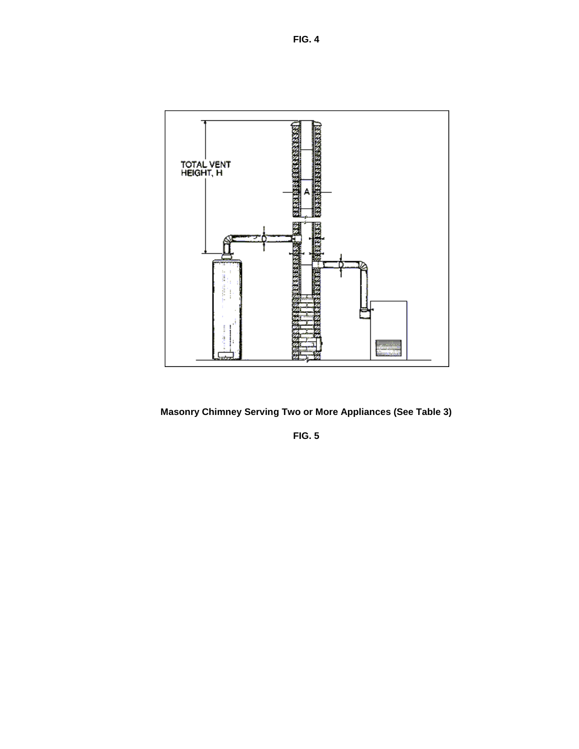**FIG. 4** 



**Masonry Chimney Serving Two or More Appliances (See Table 3)** 

**FIG. 5**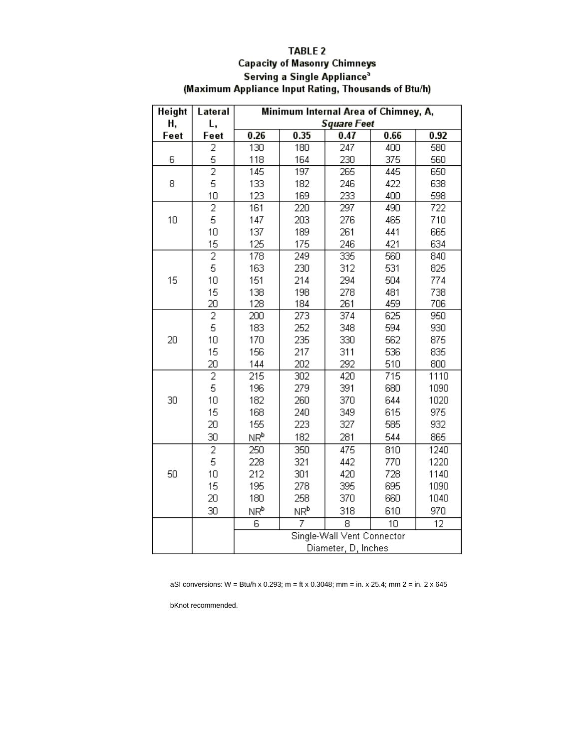### **TABLE 2 Capacity of Masonry Chimneys** Serving a Single Appliance<sup>3</sup> (Maximum Appliance Input Rating, Thousands of Btu/h)

| Height | Lateral        | Minimum Internal Area of Chimney, A, |                 |                  |      |      |
|--------|----------------|--------------------------------------|-----------------|------------------|------|------|
| Η,     | L,             | <b>Square Feet</b>                   |                 |                  |      |      |
| Feet   | Feet           | 0.26                                 | 0.35            | 0.47             | 0.66 | 0.92 |
|        | 2              | 130                                  | 180             | 247              | 400  | 580  |
| 6      | 5              | 118                                  | 164             | 230              | 375  | 560  |
|        | $\overline{2}$ | 145                                  | 197             | 265              | 445  | 650  |
| 8      | 5              | 133                                  | 182             | 246              | 422  | 638  |
|        | 10             | 123                                  | 169             | 233              | 400  | 598  |
|        | $\overline{2}$ | 161                                  | 220             | $\overline{297}$ | 490  | 722  |
| 10     | 5              | 147                                  | 203             | 276              | 465  | 710  |
|        | 10             | 137                                  | 189             | 261              | 441  | 665  |
|        | 15             | 125                                  | 175             | 246              | 421  | 634  |
|        | $\overline{2}$ | 178                                  | 249             | 335              | 560  | 840  |
|        | 5              | 163                                  | 230             | 312              | 531  | 825  |
| 15     | 10             | 151                                  | 214             | 294              | 504  | 774  |
|        | 15             | 138                                  | 198             | 278              | 481  | 738  |
|        | 20             | 128                                  | 184             | 261              | 459  | 706  |
|        | $\overline{2}$ | 200                                  | 273             | 374              | 625  | 950  |
|        | 5              | 183                                  | 252             | 348              | 594  | 930  |
| 20     | 10             | 170                                  | 235             | 330              | 562  | 875  |
|        | 15             | 156                                  | 217             | 311              | 536  | 835  |
|        | 20             | 144                                  | 202             | 292              | 510  | 800  |
|        | $\overline{2}$ | 215                                  | 302             | 420              | 715  | 1110 |
|        | 5              | 196                                  | 279             | 391              | 680  | 1090 |
| 30     | 10             | 182                                  | 260             | 370              | 644  | 1020 |
|        | 15             | 168                                  | 240             | 349              | 615  | 975  |
|        | 20             | 155                                  | 223             | 327              | 585  | 932  |
|        | 30             | NR <sup>b</sup>                      | 182             | 281              | 544  | 865  |
|        | $\overline{2}$ | 250                                  | 350             | 475              | 810  | 1240 |
|        | 5              | 228                                  | 321             | 442              | 770  | 1220 |
| 50     | 10             | 212                                  | 301             | 420              | 728  | 1140 |
|        | 15             | 195                                  | 278             | 395              | 695  | 1090 |
|        | 20             | 180                                  | 258             | 370              | 660  | 1040 |
|        | 30             | NR <sup>b</sup>                      | ΝR <sup>b</sup> | 318              | 610  | 970  |
|        |                | 6                                    | 7               | 8                | 10   | 12   |
|        |                | Single-Wall Vent Connector           |                 |                  |      |      |
|        |                | Diameter, D, Inches                  |                 |                  |      |      |

aSI conversions: W = Btu/h x 0.293; m = ft x 0.3048; mm = in. x 25.4; mm 2 = in. 2 x 645

bKnot recommended.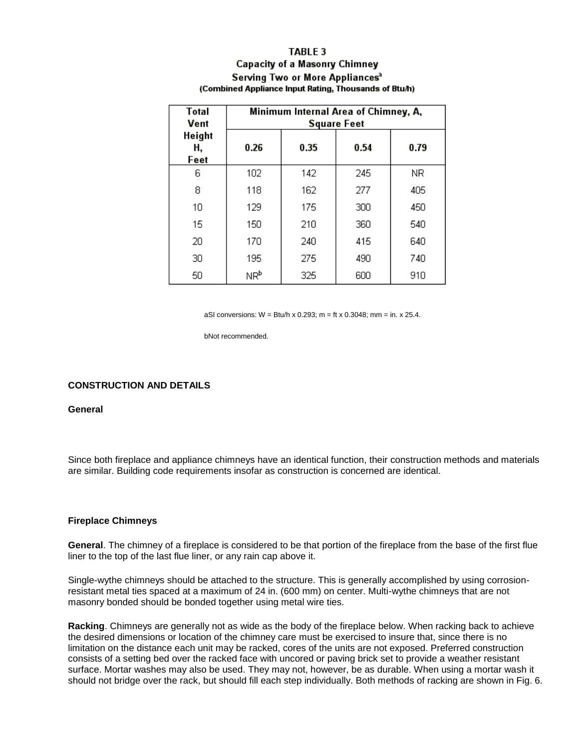#### **TABLE 3**

#### **Capacity of a Masonry Chimney** Serving Two or More Appliances<sup>3</sup> (Combined Appliance Input Rating, Thousands of Btu/h)

| Total<br>Vent        | Minimum Internal Area of Chimney, A,<br><b>Square Feet</b> |      |      |      |  |  |
|----------------------|------------------------------------------------------------|------|------|------|--|--|
| Height<br>Н,<br>Feet | 0.26                                                       | 0.35 | 0.54 | 0.79 |  |  |
| 6                    | 102                                                        | 142  | 245  | NR.  |  |  |
| 8                    | 118                                                        | 162  | 277  | 405  |  |  |
| 10                   | 129                                                        | 175  | 300  | 450  |  |  |
| 15                   | 150                                                        | 210  | 360  | 540  |  |  |
| 20                   | 170                                                        | 240  | 415  | 640  |  |  |
| 30                   | 195                                                        | 275  | 490  | 740  |  |  |
| 50                   | NR <sup>b</sup>                                            | 325  | 600  | 910  |  |  |

aSI conversions: W = Btu/h x 0.293; m = ft x 0.3048; mm = in. x 25.4.

bNot recommended.

#### **CONSTRUCTION AND DETAILS**

#### **General**

 Since both fireplace and appliance chimneys have an identical function, their construction methods and materials are similar. Building code requirements insofar as construction is concerned are identical.

#### **Fireplace Chimneys**

**General**. The chimney of a fireplace is considered to be that portion of the fireplace from the base of the first flue liner to the top of the last flue liner, or any rain cap above it.

Single-wythe chimneys should be attached to the structure. This is generally accomplished by using corrosionresistant metal ties spaced at a maximum of 24 in. (600 mm) on center. Multi-wythe chimneys that are not masonry bonded should be bonded together using metal wire ties.

 **Racking**. Chimneys are generally not as wide as the body of the fireplace below. When racking back to achieve surface. Mortar washes may also be used. They may not, however, be as durable. When using a mortar wash it the desired dimensions or location of the chimney care must be exercised to insure that, since there is no limitation on the distance each unit may be racked, cores of the units are not exposed. Preferred construction consists of a setting bed over the racked face with uncored or paving brick set to provide a weather resistant should not bridge over the rack, but should fill each step individually. Both methods of racking are shown in Fig. 6.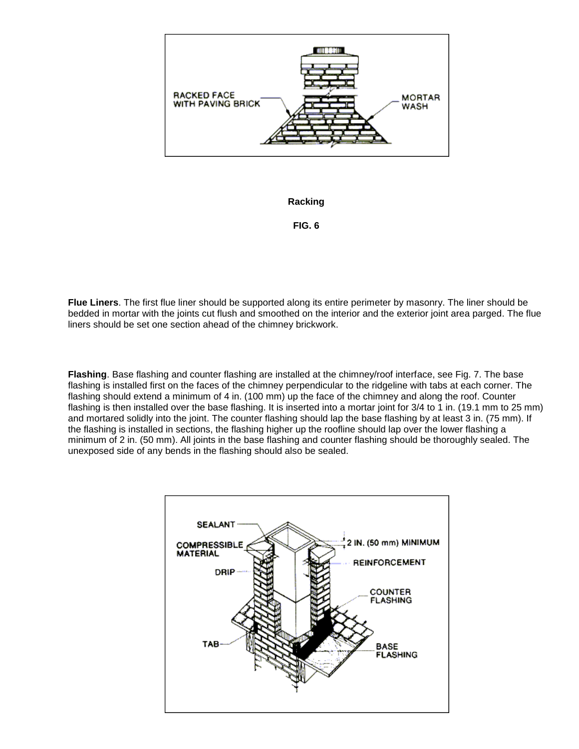

# **Racking FIG. 6**

 bedded in mortar with the joints cut flush and smoothed on the interior and the exterior joint area parged. The flue **Flue Liners**. The first flue liner should be supported along its entire perimeter by masonry. The liner should be liners should be set one section ahead of the chimney brickwork.

**Flashing**. Base flashing and counter flashing are installed at the chimney/roof interface, see Fig. 7. The base flashing is installed first on the faces of the chimney perpendicular to the ridgeline with tabs at each corner. The flashing should extend a minimum of 4 in. (100 mm) up the face of the chimney and along the roof. Counter flashing is then installed over the base flashing. It is inserted into a mortar joint for 3/4 to 1 in. (19.1 mm to 25 mm) and mortared solidly into the joint. The counter flashing should lap the base flashing by at least 3 in. (75 mm). If the flashing is installed in sections, the flashing higher up the roofline should lap over the lower flashing a minimum of 2 in. (50 mm). All joints in the base flashing and counter flashing should be thoroughly sealed. The unexposed side of any bends in the flashing should also be sealed.

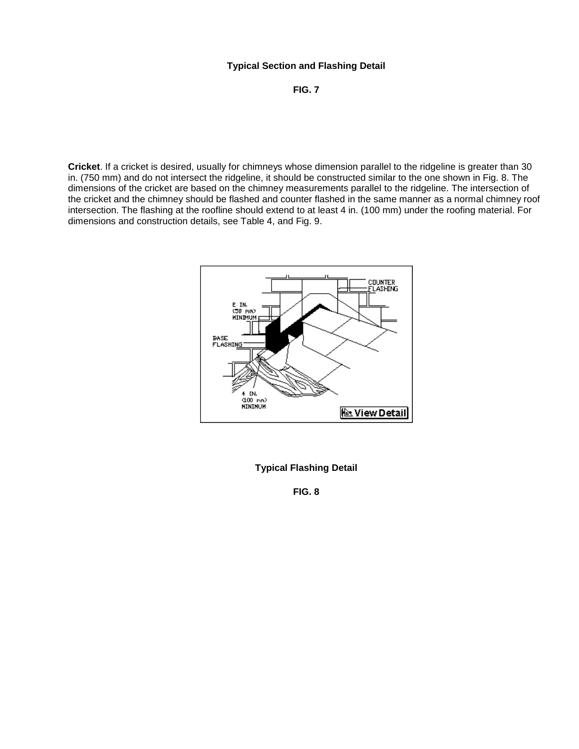# **Typical Section and Flashing Detail FIG. 7**

 dimensions of the cricket are based on the chimney measurements parallel to the ridgeline. The intersection of **Cricket**. If a cricket is desired, usually for chimneys whose dimension parallel to the ridgeline is greater than 30 in. (750 mm) and do not intersect the ridgeline, it should be constructed similar to the one shown in Fig. 8. The the cricket and the chimney should be flashed and counter flashed in the same manner as a normal chimney roof intersection. The flashing at the roofline should extend to at least 4 in. (100 mm) under the roofing material. For dimensions and construction details, see Table 4, and Fig. 9.



**Typical Flashing Detail FIG. 8**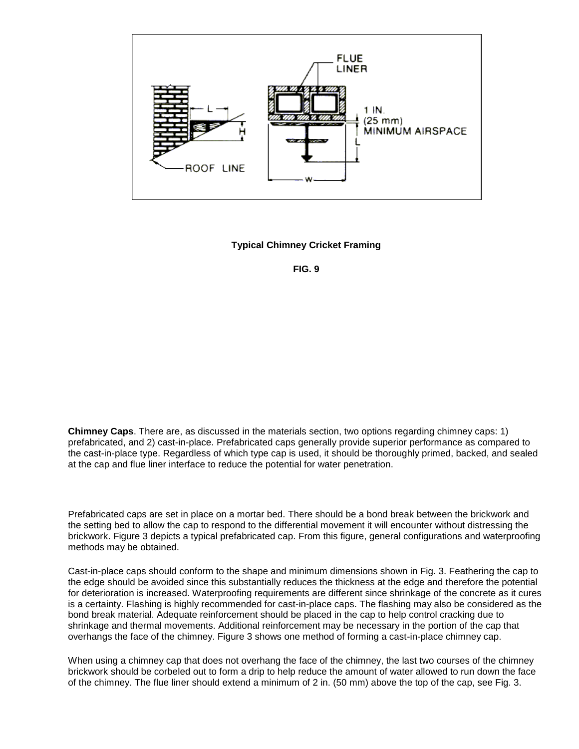

**Typical Chimney Cricket Framing FIG. 9** 

**Chimney Caps**. There are, as discussed in the materials section, two options regarding chimney caps: 1) prefabricated, and 2) cast-in-place. Prefabricated caps generally provide superior performance as compared to the cast-in-place type. Regardless of which type cap is used, it should be thoroughly primed, backed, and sealed at the cap and flue liner interface to reduce the potential for water penetration.

 methods may be obtained. Prefabricated caps are set in place on a mortar bed. There should be a bond break between the brickwork and the setting bed to allow the cap to respond to the differential movement it will encounter without distressing the brickwork. Figure 3 depicts a typical prefabricated cap. From this figure, general configurations and waterproofing

 the edge should be avoided since this substantially reduces the thickness at the edge and therefore the potential for deterioration is increased. Waterproofing requirements are different since shrinkage of the concrete as it cures shrinkage and thermal movements. Additional reinforcement may be necessary in the portion of the cap that Cast-in-place caps should conform to the shape and minimum dimensions shown in Fig. 3. Feathering the cap to is a certainty. Flashing is highly recommended for cast-in-place caps. The flashing may also be considered as the bond break material. Adequate reinforcement should be placed in the cap to help control cracking due to overhangs the face of the chimney. Figure 3 shows one method of forming a cast-in-place chimney cap.

When using a chimney cap that does not overhang the face of the chimney, the last two courses of the chimney brickwork should be corbeled out to form a drip to help reduce the amount of water allowed to run down the face of the chimney. The flue liner should extend a minimum of 2 in. (50 mm) above the top of the cap, see Fig. 3.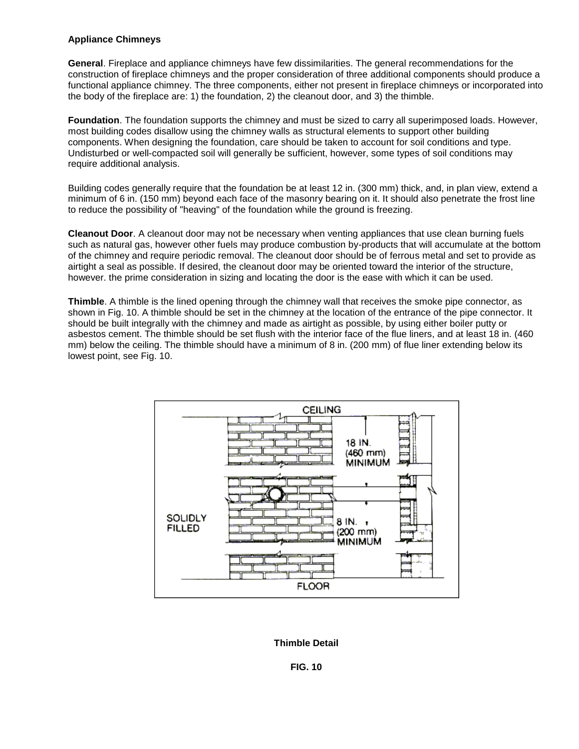#### **Appliance Chimneys**

 **General**. Fireplace and appliance chimneys have few dissimilarities. The general recommendations for the construction of fireplace chimneys and the proper consideration of three additional components should produce a functional appliance chimney. The three components, either not present in fireplace chimneys or incorporated into the body of the fireplace are: 1) the foundation, 2) the cleanout door, and 3) the thimble.

 most building codes disallow using the chimney walls as structural elements to support other building **Foundation**. The foundation supports the chimney and must be sized to carry all superimposed loads. However, components. When designing the foundation, care should be taken to account for soil conditions and type. Undisturbed or well-compacted soil will generally be sufficient, however, some types of soil conditions may require additional analysis.

 minimum of 6 in. (150 mm) beyond each face of the masonry bearing on it. It should also penetrate the frost line Building codes generally require that the foundation be at least 12 in. (300 mm) thick, and, in plan view, extend a to reduce the possibility of "heaving" of the foundation while the ground is freezing.

 **Cleanout Door**. A cleanout door may not be necessary when venting appliances that use clean burning fuels however. the prime consideration in sizing and locating the door is the ease with which it can be used. such as natural gas, however other fuels may produce combustion by-products that will accumulate at the bottom of the chimney and require periodic removal. The cleanout door should be of ferrous metal and set to provide as airtight a seal as possible. If desired, the cleanout door may be oriented toward the interior of the structure,

 mm) below the ceiling. The thimble should have a minimum of 8 in. (200 mm) of flue liner extending below its **Thimble**. A thimble is the lined opening through the chimney wall that receives the smoke pipe connector, as shown in Fig. 10. A thimble should be set in the chimney at the location of the entrance of the pipe connector. It should be built integrally with the chimney and made as airtight as possible, by using either boiler putty or asbestos cement. The thimble should be set flush with the interior face of the flue liners, and at least 18 in. (460 lowest point, see Fig. 10.



# **Thimble Detail FIG. 10**